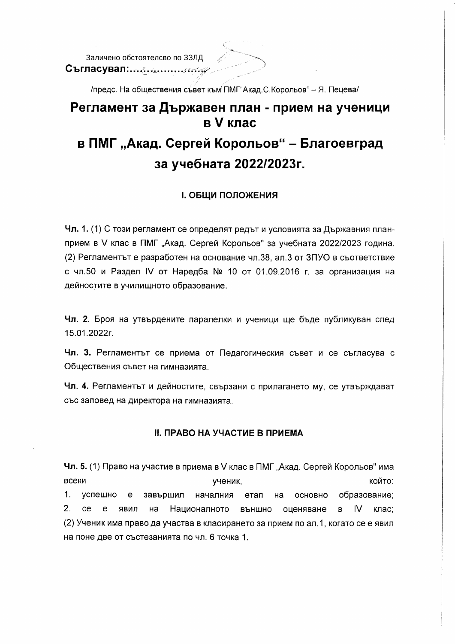Съгласувал: Соборница (1999)

/предс. На обществения съвет към ПМГ"Акад.С.Корольов" - Я. Пецева/

## Регламент за Държавен план - прием на ученици в V клас

# в ПМГ "Акад. Сергей Корольов" - Благоевград за учебната 2022/2023г.

#### **І. ОБЩИ ПОЛОЖЕНИЯ**

Чл. 1. (1) С този регламент се определят редът и условията за Държавния планприем в V клас в ПМГ "Акад. Сергей Корольов" за учебната 2022/2023 година. (2) Регламентът е разработен на основание чл.38, ал.3 от ЗПУО в съответствие с чл.50 и Раздел IV от Наредба № 10 от 01.09.2016 г. за организация на дейностите в училищното образование.

Чл. 2. Броя на утвърдените паралелки и ученици ще бъде публикуван след 15.01.2022r.

Чл. 3. Регламентът се приема от Педагогическия съвет и се съгласува с Обществения съвет на гимназията.

Чл. 4. Регламентът и дейностите, свързани с прилагането му, се утвърждават със заповед на директора на гимназията.

### **II. ПРАВО НА УЧАСТИЕ В ПРИЕМА**

Чл. 5. (1) Право на участие в приема в V клас в ПМГ "Акад. Сергей Корольов" има всеки който: ученик, 1. успешно завършил началния етап образование:  $e$ на ОСНОВНО  $2<sup>1</sup>$  $ce$ Националното външно оценяване  $B$  IV клас:  $e$ лвил на (2) Ученик има право да участва в класирането за прием по ал.1, когато се е явил на поне две от състезанията по чл. 6 точка 1.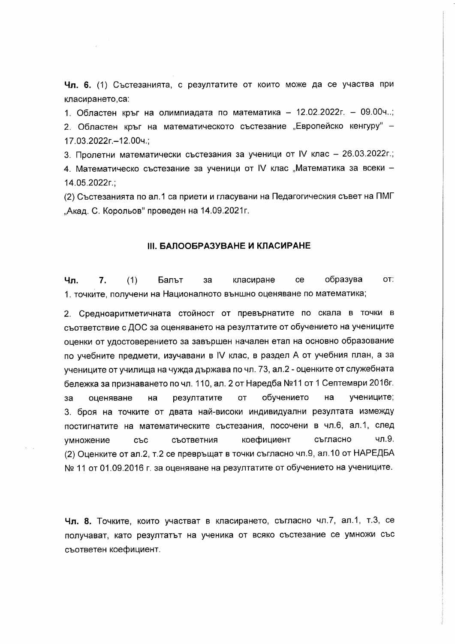Чл. 6. (1) Състезанията, с резултатите от които може да се участва при класирането.са:

1. Областен кръг на олимпиадата по математика - 12.02.2022г. - 09.00ч..; 2. Областен кръг на математическото състезание "Европейско кенгуру" -17.03.2022r.-12.00ч.;

3. Пролетни математически състезания за ученици от IV клас - 26.03.2022г.; 4. Математическо състезание за ученици от IV клас "Математика за всеки -14.05.2022r.;

(2) Състезанията по ал.1 са приети и гласувани на Педагогическия съвет на ПМГ "Акад. С. Корольов" проведен на 14.09.2021г.

#### **III. БАЛООБРАЗУВАНЕ И КЛАСИРАНЕ**

 $(1)$ Чπ.  $7<sub>1</sub>$ Бальт  $3a$ класиране ce образува OT: 1. точките, получени на Националното външно оценяване по математика;

2. Средноаритметичната стойност от превърнатите по скала в точки в съответствие с ДОС за оценяването на резултатите от обучението на учениците оценки от удостоверението за завършен начален етап на основно образование по учебните предмети, изучавани в IV клас, в раздел А от учебния план, а за учениците от училища на чужда държава по чл. 73, ал.2 - оценките от служебната бележка за признаването по чл. 110, ал. 2 от Наредба №11 от 1 Септември 2016г. учениците; резултатите **OT** обучението на  $3a$ оценяване на 3. броя на точките от двата най-високи индивидуални резултата измежду постигнатите на математическите състезания, посочени в чл.6, ал.1, след съгласно чл.9. съответния коефициент **умножение** със (2) Оценките от ал.2, т.2 се превръщат в точки съгласно чл.9, ал.10 от НАРЕДБА № 11 от 01.09.2016 г. за оценяване на резултатите от обучението на учениците.

Чл. 8. Точките, които участват в класирането, съгласно чл.7, ал.1, т.3, се получават, като резултатът на ученика от всяко състезание се умножи със съответен коефициент.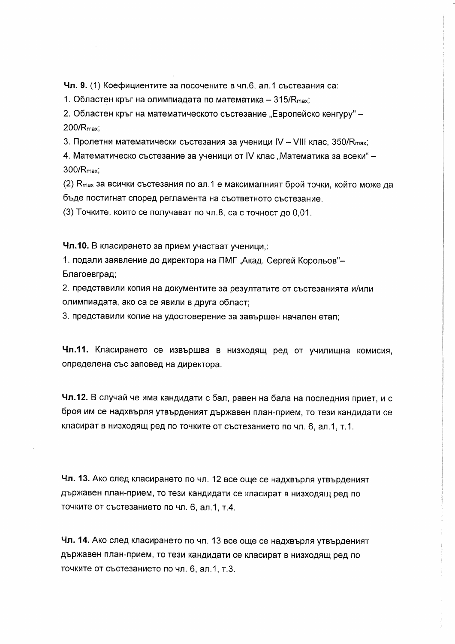Чл. 9. (1) Коефициентите за посочените в чл.6, ал.1 състезания са:

1. Областен кръг на олимпиадата по математика - 315/R<sub>max</sub>;

2. Областен кръг на математическото състезание "Европейско кенгуру" -200/R<sub>max</sub>:

3. Пролетни математически състезания за ученици IV - VIII клас, 350/R<sub>max</sub>;

4. Математическо състезание за ученици от IV клас "Математика за всеки" -300/R<sub>max</sub>:

(2) R<sub>max</sub> за всички състезания по ал.1 е максималният брой точки, който може да бъде постигнат според регламента на съответното състезание.

(3) Точките, които се получават по чл.8, са с точност до 0,01.

Чл.10. В класирането за прием участват ученици,:

1. подали заявление до директора на ПМГ "Акад. Сергей Корольов"-Благоевград:

2. представили копия на документите за резултатите от състезанията и/или олимпиадата, ако са се явили в друга област;

3. представили копие на удостоверение за завършен начален етап;

Чл.11. Класирането се извършва в низходящ ред от училищна комисия, определена със заповед на директора.

Чл.12. В случай че има кандидати с бал, равен на бала на последния приет, и с броя им се надхвърля утвърденият държавен план-прием, то тези кандидати се класират в низходящ ред по точките от състезанието по чл. 6, ал.1, т.1.

Чл. 13. Ако след класирането по чл. 12 все още се надхвърля утвърденият държавен план-прием, то тези кандидати се класират в низходящ ред по точките от състезанието по чл. 6, ал.1, т.4.

Чл. 14. Ако след класирането по чл. 13 все още се надхвърля утвърденият държавен план-прием, то тези кандидати се класират в низходящ ред по точките от състезанието по чл. 6, ал.1, т.3.